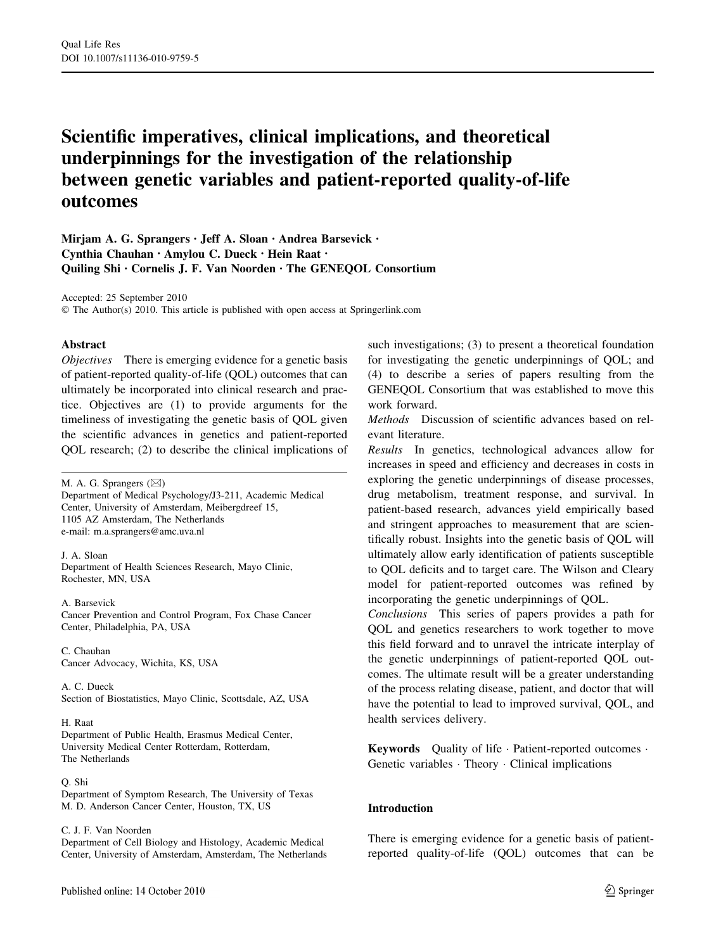# Scientific imperatives, clinical implications, and theoretical underpinnings for the investigation of the relationship between genetic variables and patient-reported quality-of-life outcomes

# Mirjam A. G. Sprangers • Jeff A. Sloan • Andrea Barsevick • Cynthia Chauhan • Amylou C. Dueck • Hein Raat • Quiling Shi • Cornelis J. F. Van Noorden • The GENEQOL Consortium

Accepted: 25 September 2010

© The Author(s) 2010. This article is published with open access at Springerlink.com

# Abstract

Objectives There is emerging evidence for a genetic basis of patient-reported quality-of-life (QOL) outcomes that can ultimately be incorporated into clinical research and practice. Objectives are (1) to provide arguments for the timeliness of investigating the genetic basis of QOL given the scientific advances in genetics and patient-reported QOL research; (2) to describe the clinical implications of

M. A. G. Sprangers  $(\boxtimes)$ Department of Medical Psychology/J3-211, Academic Medical Center, University of Amsterdam, Meibergdreef 15, 1105 AZ Amsterdam, The Netherlands e-mail: m.a.sprangers@amc.uva.nl

#### J. A. Sloan

Department of Health Sciences Research, Mayo Clinic, Rochester, MN, USA

A. Barsevick Cancer Prevention and Control Program, Fox Chase Cancer Center, Philadelphia, PA, USA

C. Chauhan Cancer Advocacy, Wichita, KS, USA

A. C. Dueck Section of Biostatistics, Mayo Clinic, Scottsdale, AZ, USA

#### H. Raat

Department of Public Health, Erasmus Medical Center, University Medical Center Rotterdam, Rotterdam, The Netherlands

#### Q. Shi

Department of Symptom Research, The University of Texas M. D. Anderson Cancer Center, Houston, TX, US

## C. J. F. Van Noorden

Department of Cell Biology and Histology, Academic Medical Center, University of Amsterdam, Amsterdam, The Netherlands such investigations; (3) to present a theoretical foundation for investigating the genetic underpinnings of QOL; and (4) to describe a series of papers resulting from the GENEQOL Consortium that was established to move this work forward.

Methods Discussion of scientific advances based on relevant literature.

Results In genetics, technological advances allow for increases in speed and efficiency and decreases in costs in exploring the genetic underpinnings of disease processes, drug metabolism, treatment response, and survival. In patient-based research, advances yield empirically based and stringent approaches to measurement that are scientifically robust. Insights into the genetic basis of QOL will ultimately allow early identification of patients susceptible to QOL deficits and to target care. The Wilson and Cleary model for patient-reported outcomes was refined by incorporating the genetic underpinnings of QOL.

Conclusions This series of papers provides a path for QOL and genetics researchers to work together to move this field forward and to unravel the intricate interplay of the genetic underpinnings of patient-reported QOL outcomes. The ultimate result will be a greater understanding of the process relating disease, patient, and doctor that will have the potential to lead to improved survival, QOL, and health services delivery.

Keywords Quality of life · Patient-reported outcomes · Genetic variables - Theory - Clinical implications

## Introduction

There is emerging evidence for a genetic basis of patientreported quality-of-life (QOL) outcomes that can be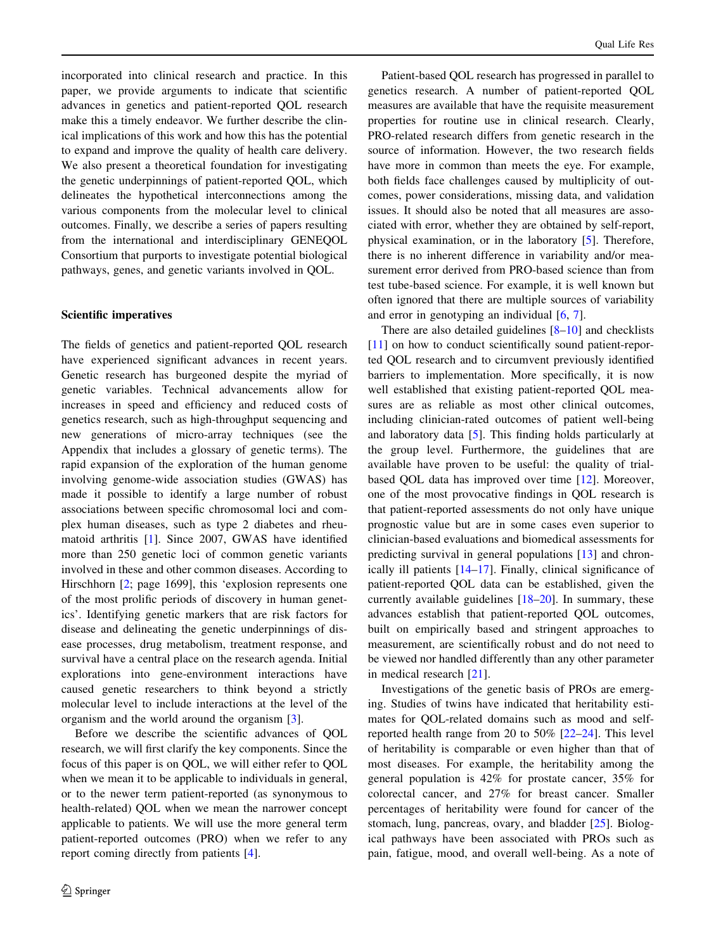incorporated into clinical research and practice. In this paper, we provide arguments to indicate that scientific advances in genetics and patient-reported QOL research make this a timely endeavor. We further describe the clinical implications of this work and how this has the potential to expand and improve the quality of health care delivery. We also present a theoretical foundation for investigating the genetic underpinnings of patient-reported QOL, which delineates the hypothetical interconnections among the various components from the molecular level to clinical outcomes. Finally, we describe a series of papers resulting from the international and interdisciplinary GENEQOL Consortium that purports to investigate potential biological pathways, genes, and genetic variants involved in QOL.

#### Scientific imperatives

The fields of genetics and patient-reported QOL research have experienced significant advances in recent years. Genetic research has burgeoned despite the myriad of genetic variables. Technical advancements allow for increases in speed and efficiency and reduced costs of genetics research, such as high-throughput sequencing and new generations of micro-array techniques (see the Appendix that includes a glossary of genetic terms). The rapid expansion of the exploration of the human genome involving genome-wide association studies (GWAS) has made it possible to identify a large number of robust associations between specific chromosomal loci and complex human diseases, such as type 2 diabetes and rheumatoid arthritis [\[1](#page-6-0)]. Since 2007, GWAS have identified more than 250 genetic loci of common genetic variants involved in these and other common diseases. According to Hirschhorn [[2;](#page-7-0) page 1699], this 'explosion represents one of the most prolific periods of discovery in human genetics'. Identifying genetic markers that are risk factors for disease and delineating the genetic underpinnings of disease processes, drug metabolism, treatment response, and survival have a central place on the research agenda. Initial explorations into gene-environment interactions have caused genetic researchers to think beyond a strictly molecular level to include interactions at the level of the organism and the world around the organism [\[3](#page-7-0)].

Before we describe the scientific advances of QOL research, we will first clarify the key components. Since the focus of this paper is on QOL, we will either refer to QOL when we mean it to be applicable to individuals in general, or to the newer term patient-reported (as synonymous to health-related) QOL when we mean the narrower concept applicable to patients. We will use the more general term patient-reported outcomes (PRO) when we refer to any report coming directly from patients [\[4](#page-7-0)].

Patient-based QOL research has progressed in parallel to genetics research. A number of patient-reported QOL measures are available that have the requisite measurement properties for routine use in clinical research. Clearly, PRO-related research differs from genetic research in the source of information. However, the two research fields have more in common than meets the eye. For example, both fields face challenges caused by multiplicity of outcomes, power considerations, missing data, and validation issues. It should also be noted that all measures are associated with error, whether they are obtained by self-report, physical examination, or in the laboratory [[5\]](#page-7-0). Therefore, there is no inherent difference in variability and/or measurement error derived from PRO-based science than from test tube-based science. For example, it is well known but often ignored that there are multiple sources of variability and error in genotyping an individual [\[6](#page-7-0), [7](#page-7-0)].

There are also detailed guidelines [[8–10\]](#page-7-0) and checklists [\[11](#page-7-0)] on how to conduct scientifically sound patient-reported QOL research and to circumvent previously identified barriers to implementation. More specifically, it is now well established that existing patient-reported QOL measures are as reliable as most other clinical outcomes, including clinician-rated outcomes of patient well-being and laboratory data [\[5](#page-7-0)]. This finding holds particularly at the group level. Furthermore, the guidelines that are available have proven to be useful: the quality of trialbased QOL data has improved over time [[12\]](#page-7-0). Moreover, one of the most provocative findings in QOL research is that patient-reported assessments do not only have unique prognostic value but are in some cases even superior to clinician-based evaluations and biomedical assessments for predicting survival in general populations [[13\]](#page-7-0) and chronically ill patients [\[14–17](#page-7-0)]. Finally, clinical significance of patient-reported QOL data can be established, given the currently available guidelines [[18–20\]](#page-7-0). In summary, these advances establish that patient-reported QOL outcomes, built on empirically based and stringent approaches to measurement, are scientifically robust and do not need to be viewed nor handled differently than any other parameter in medical research [\[21](#page-7-0)].

Investigations of the genetic basis of PROs are emerging. Studies of twins have indicated that heritability estimates for QOL-related domains such as mood and selfreported health range from 20 to 50% [\[22–24](#page-7-0)]. This level of heritability is comparable or even higher than that of most diseases. For example, the heritability among the general population is 42% for prostate cancer, 35% for colorectal cancer, and 27% for breast cancer. Smaller percentages of heritability were found for cancer of the stomach, lung, pancreas, ovary, and bladder [\[25](#page-7-0)]. Biological pathways have been associated with PROs such as pain, fatigue, mood, and overall well-being. As a note of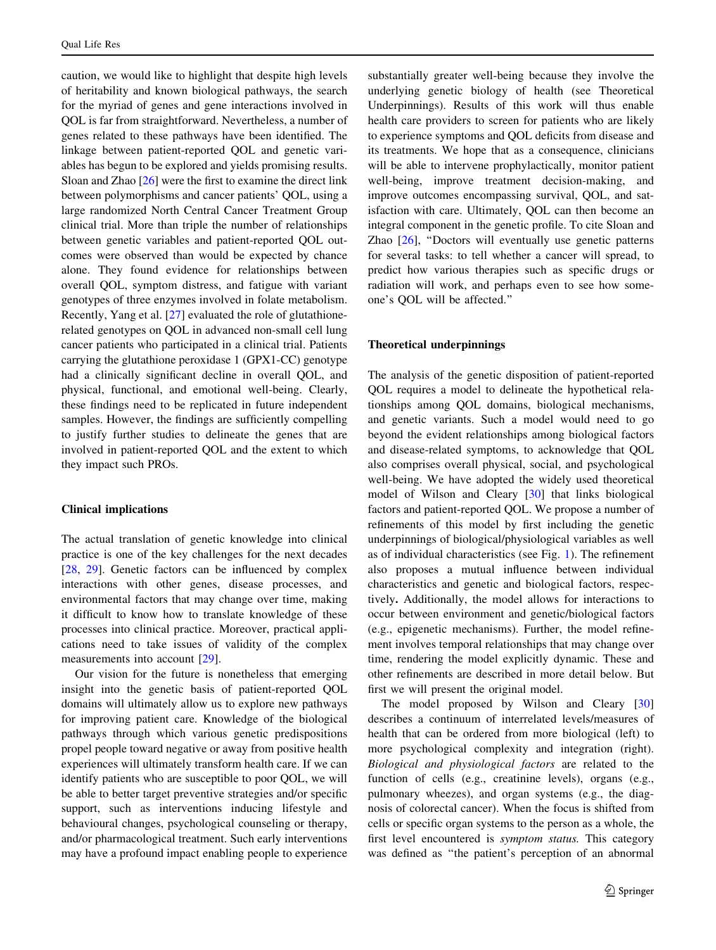caution, we would like to highlight that despite high levels of heritability and known biological pathways, the search for the myriad of genes and gene interactions involved in QOL is far from straightforward. Nevertheless, a number of genes related to these pathways have been identified. The linkage between patient-reported QOL and genetic variables has begun to be explored and yields promising results. Sloan and Zhao [[26\]](#page-7-0) were the first to examine the direct link between polymorphisms and cancer patients' QOL, using a large randomized North Central Cancer Treatment Group clinical trial. More than triple the number of relationships between genetic variables and patient-reported QOL outcomes were observed than would be expected by chance alone. They found evidence for relationships between overall QOL, symptom distress, and fatigue with variant genotypes of three enzymes involved in folate metabolism. Recently, Yang et al. [[27\]](#page-7-0) evaluated the role of glutathionerelated genotypes on QOL in advanced non-small cell lung cancer patients who participated in a clinical trial. Patients carrying the glutathione peroxidase 1 (GPX1-CC) genotype had a clinically significant decline in overall QOL, and physical, functional, and emotional well-being. Clearly, these findings need to be replicated in future independent samples. However, the findings are sufficiently compelling to justify further studies to delineate the genes that are involved in patient-reported QOL and the extent to which they impact such PROs.

#### Clinical implications

The actual translation of genetic knowledge into clinical practice is one of the key challenges for the next decades [\[28](#page-7-0), [29\]](#page-7-0). Genetic factors can be influenced by complex interactions with other genes, disease processes, and environmental factors that may change over time, making it difficult to know how to translate knowledge of these processes into clinical practice. Moreover, practical applications need to take issues of validity of the complex measurements into account [\[29](#page-7-0)].

Our vision for the future is nonetheless that emerging insight into the genetic basis of patient-reported QOL domains will ultimately allow us to explore new pathways for improving patient care. Knowledge of the biological pathways through which various genetic predispositions propel people toward negative or away from positive health experiences will ultimately transform health care. If we can identify patients who are susceptible to poor QOL, we will be able to better target preventive strategies and/or specific support, such as interventions inducing lifestyle and behavioural changes, psychological counseling or therapy, and/or pharmacological treatment. Such early interventions may have a profound impact enabling people to experience

substantially greater well-being because they involve the underlying genetic biology of health (see Theoretical Underpinnings). Results of this work will thus enable health care providers to screen for patients who are likely to experience symptoms and QOL deficits from disease and its treatments. We hope that as a consequence, clinicians will be able to intervene prophylactically, monitor patient well-being, improve treatment decision-making, and improve outcomes encompassing survival, QOL, and satisfaction with care. Ultimately, QOL can then become an integral component in the genetic profile. To cite Sloan and Zhao [\[26](#page-7-0)], ''Doctors will eventually use genetic patterns for several tasks: to tell whether a cancer will spread, to predict how various therapies such as specific drugs or radiation will work, and perhaps even to see how someone's QOL will be affected.''

#### Theoretical underpinnings

The analysis of the genetic disposition of patient-reported QOL requires a model to delineate the hypothetical relationships among QOL domains, biological mechanisms, and genetic variants. Such a model would need to go beyond the evident relationships among biological factors and disease-related symptoms, to acknowledge that QOL also comprises overall physical, social, and psychological well-being. We have adopted the widely used theoretical model of Wilson and Cleary [\[30](#page-7-0)] that links biological factors and patient-reported QOL. We propose a number of refinements of this model by first including the genetic underpinnings of biological/physiological variables as well as of individual characteristics (see Fig. [1\)](#page-3-0). The refinement also proposes a mutual influence between individual characteristics and genetic and biological factors, respectively. Additionally, the model allows for interactions to occur between environment and genetic/biological factors (e.g., epigenetic mechanisms). Further, the model refinement involves temporal relationships that may change over time, rendering the model explicitly dynamic. These and other refinements are described in more detail below. But first we will present the original model.

The model proposed by Wilson and Cleary [[30\]](#page-7-0) describes a continuum of interrelated levels/measures of health that can be ordered from more biological (left) to more psychological complexity and integration (right). Biological and physiological factors are related to the function of cells (e.g., creatinine levels), organs (e.g., pulmonary wheezes), and organ systems (e.g., the diagnosis of colorectal cancer). When the focus is shifted from cells or specific organ systems to the person as a whole, the first level encountered is symptom status. This category was defined as ''the patient's perception of an abnormal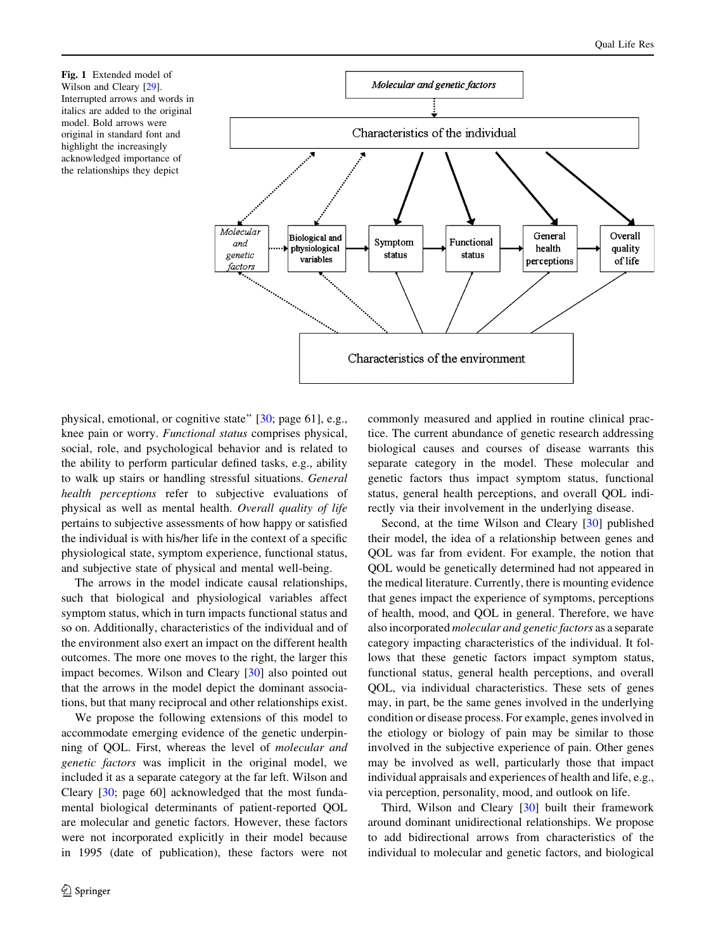<span id="page-3-0"></span>Fig. 1 Extended model of Wilson and Cleary [[29](#page-7-0)]. Interrupted arrows and words in italics are added to the original model. Bold arrows were original in standard font and highlight the increasingly acknowledged importance of the relationships they depict



physical, emotional, or cognitive state'' [\[30](#page-7-0); page 61], e.g., knee pain or worry. Functional status comprises physical, social, role, and psychological behavior and is related to the ability to perform particular defined tasks, e.g., ability to walk up stairs or handling stressful situations. General health perceptions refer to subjective evaluations of physical as well as mental health. Overall quality of life pertains to subjective assessments of how happy or satisfied the individual is with his/her life in the context of a specific physiological state, symptom experience, functional status, and subjective state of physical and mental well-being.

The arrows in the model indicate causal relationships, such that biological and physiological variables affect symptom status, which in turn impacts functional status and so on. Additionally, characteristics of the individual and of the environment also exert an impact on the different health outcomes. The more one moves to the right, the larger this impact becomes. Wilson and Cleary [[30\]](#page-7-0) also pointed out that the arrows in the model depict the dominant associations, but that many reciprocal and other relationships exist.

We propose the following extensions of this model to accommodate emerging evidence of the genetic underpinning of QOL. First, whereas the level of molecular and genetic factors was implicit in the original model, we included it as a separate category at the far left. Wilson and Cleary [\[30](#page-7-0); page 60] acknowledged that the most fundamental biological determinants of patient-reported QOL are molecular and genetic factors. However, these factors were not incorporated explicitly in their model because in 1995 (date of publication), these factors were not commonly measured and applied in routine clinical practice. The current abundance of genetic research addressing biological causes and courses of disease warrants this separate category in the model. These molecular and genetic factors thus impact symptom status, functional status, general health perceptions, and overall QOL indirectly via their involvement in the underlying disease.

Second, at the time Wilson and Cleary [\[30](#page-7-0)] published their model, the idea of a relationship between genes and QOL was far from evident. For example, the notion that QOL would be genetically determined had not appeared in the medical literature. Currently, there is mounting evidence that genes impact the experience of symptoms, perceptions of health, mood, and QOL in general. Therefore, we have also incorporated molecular and genetic factors as a separate category impacting characteristics of the individual. It follows that these genetic factors impact symptom status, functional status, general health perceptions, and overall QOL, via individual characteristics. These sets of genes may, in part, be the same genes involved in the underlying condition or disease process. For example, genes involved in the etiology or biology of pain may be similar to those involved in the subjective experience of pain. Other genes may be involved as well, particularly those that impact individual appraisals and experiences of health and life, e.g., via perception, personality, mood, and outlook on life.

Third, Wilson and Cleary [\[30](#page-7-0)] built their framework around dominant unidirectional relationships. We propose to add bidirectional arrows from characteristics of the individual to molecular and genetic factors, and biological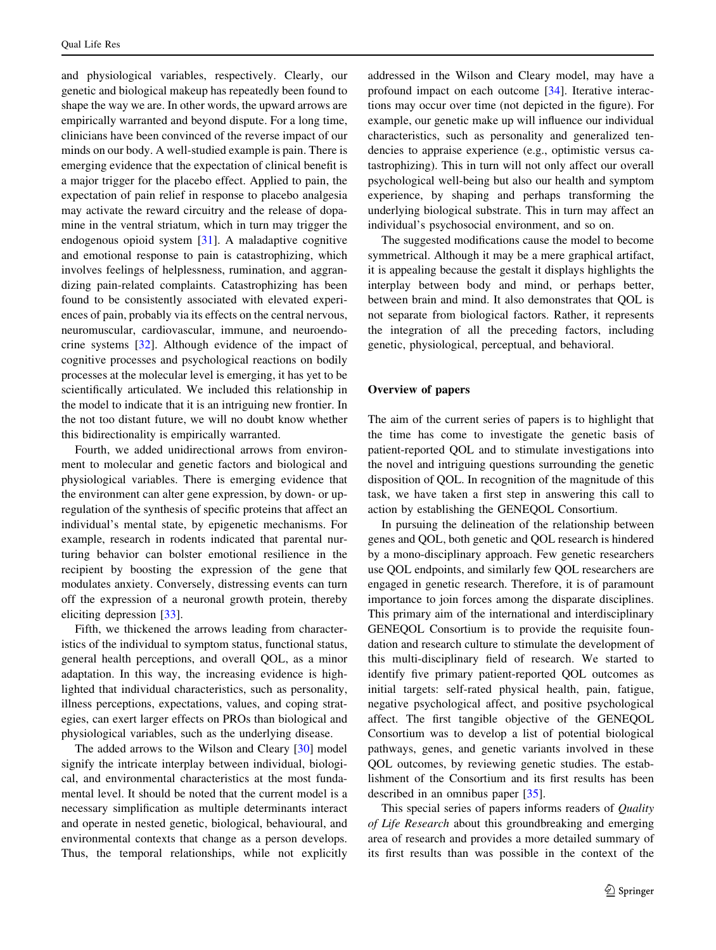and physiological variables, respectively. Clearly, our genetic and biological makeup has repeatedly been found to shape the way we are. In other words, the upward arrows are empirically warranted and beyond dispute. For a long time, clinicians have been convinced of the reverse impact of our minds on our body. A well-studied example is pain. There is emerging evidence that the expectation of clinical benefit is a major trigger for the placebo effect. Applied to pain, the expectation of pain relief in response to placebo analgesia may activate the reward circuitry and the release of dopamine in the ventral striatum, which in turn may trigger the endogenous opioid system [[31\]](#page-7-0). A maladaptive cognitive and emotional response to pain is catastrophizing, which involves feelings of helplessness, rumination, and aggrandizing pain-related complaints. Catastrophizing has been found to be consistently associated with elevated experiences of pain, probably via its effects on the central nervous, neuromuscular, cardiovascular, immune, and neuroendocrine systems [\[32](#page-7-0)]. Although evidence of the impact of cognitive processes and psychological reactions on bodily processes at the molecular level is emerging, it has yet to be scientifically articulated. We included this relationship in the model to indicate that it is an intriguing new frontier. In the not too distant future, we will no doubt know whether this bidirectionality is empirically warranted.

Fourth, we added unidirectional arrows from environment to molecular and genetic factors and biological and physiological variables. There is emerging evidence that the environment can alter gene expression, by down- or upregulation of the synthesis of specific proteins that affect an individual's mental state, by epigenetic mechanisms. For example, research in rodents indicated that parental nurturing behavior can bolster emotional resilience in the recipient by boosting the expression of the gene that modulates anxiety. Conversely, distressing events can turn off the expression of a neuronal growth protein, thereby eliciting depression [[33\]](#page-7-0).

Fifth, we thickened the arrows leading from characteristics of the individual to symptom status, functional status, general health perceptions, and overall QOL, as a minor adaptation. In this way, the increasing evidence is highlighted that individual characteristics, such as personality, illness perceptions, expectations, values, and coping strategies, can exert larger effects on PROs than biological and physiological variables, such as the underlying disease.

The added arrows to the Wilson and Cleary [[30\]](#page-7-0) model signify the intricate interplay between individual, biological, and environmental characteristics at the most fundamental level. It should be noted that the current model is a necessary simplification as multiple determinants interact and operate in nested genetic, biological, behavioural, and environmental contexts that change as a person develops. Thus, the temporal relationships, while not explicitly

addressed in the Wilson and Cleary model, may have a profound impact on each outcome [\[34](#page-7-0)]. Iterative interactions may occur over time (not depicted in the figure). For example, our genetic make up will influence our individual characteristics, such as personality and generalized tendencies to appraise experience (e.g., optimistic versus catastrophizing). This in turn will not only affect our overall psychological well-being but also our health and symptom experience, by shaping and perhaps transforming the underlying biological substrate. This in turn may affect an individual's psychosocial environment, and so on.

The suggested modifications cause the model to become symmetrical. Although it may be a mere graphical artifact, it is appealing because the gestalt it displays highlights the interplay between body and mind, or perhaps better, between brain and mind. It also demonstrates that QOL is not separate from biological factors. Rather, it represents the integration of all the preceding factors, including genetic, physiological, perceptual, and behavioral.

## Overview of papers

The aim of the current series of papers is to highlight that the time has come to investigate the genetic basis of patient-reported QOL and to stimulate investigations into the novel and intriguing questions surrounding the genetic disposition of QOL. In recognition of the magnitude of this task, we have taken a first step in answering this call to action by establishing the GENEQOL Consortium.

In pursuing the delineation of the relationship between genes and QOL, both genetic and QOL research is hindered by a mono-disciplinary approach. Few genetic researchers use QOL endpoints, and similarly few QOL researchers are engaged in genetic research. Therefore, it is of paramount importance to join forces among the disparate disciplines. This primary aim of the international and interdisciplinary GENEQOL Consortium is to provide the requisite foundation and research culture to stimulate the development of this multi-disciplinary field of research. We started to identify five primary patient-reported QOL outcomes as initial targets: self-rated physical health, pain, fatigue, negative psychological affect, and positive psychological affect. The first tangible objective of the GENEQOL Consortium was to develop a list of potential biological pathways, genes, and genetic variants involved in these QOL outcomes, by reviewing genetic studies. The establishment of the Consortium and its first results has been described in an omnibus paper [\[35](#page-7-0)].

This special series of papers informs readers of *Quality* of Life Research about this groundbreaking and emerging area of research and provides a more detailed summary of its first results than was possible in the context of the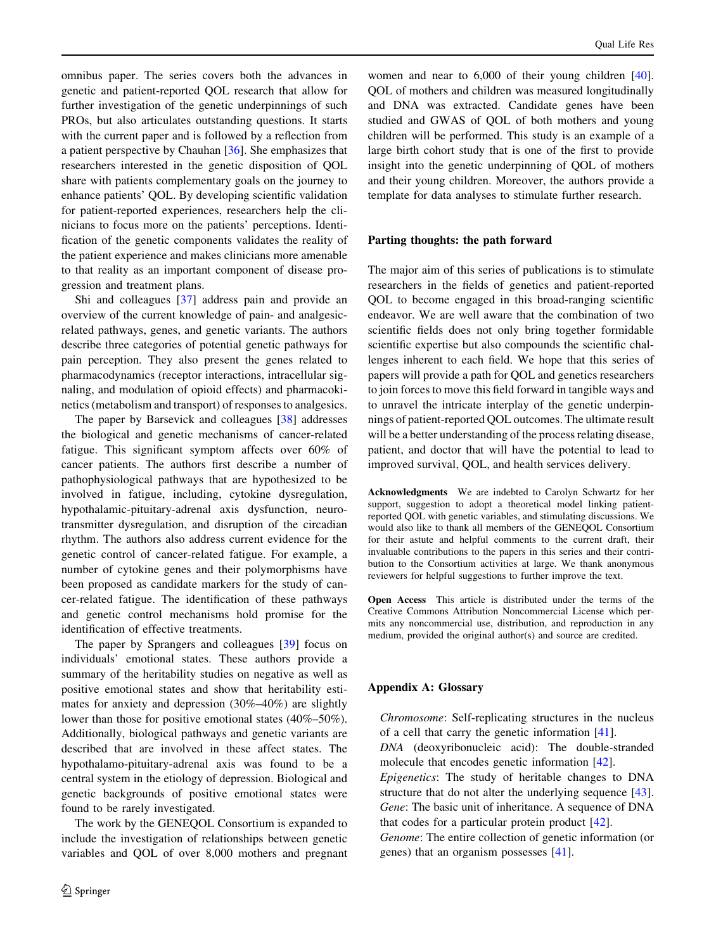omnibus paper. The series covers both the advances in genetic and patient-reported QOL research that allow for further investigation of the genetic underpinnings of such PROs, but also articulates outstanding questions. It starts with the current paper and is followed by a reflection from a patient perspective by Chauhan [[36\]](#page-8-0). She emphasizes that researchers interested in the genetic disposition of QOL share with patients complementary goals on the journey to enhance patients' QOL. By developing scientific validation for patient-reported experiences, researchers help the clinicians to focus more on the patients' perceptions. Identification of the genetic components validates the reality of the patient experience and makes clinicians more amenable to that reality as an important component of disease progression and treatment plans.

Shi and colleagues [\[37](#page-8-0)] address pain and provide an overview of the current knowledge of pain- and analgesicrelated pathways, genes, and genetic variants. The authors describe three categories of potential genetic pathways for pain perception. They also present the genes related to pharmacodynamics (receptor interactions, intracellular signaling, and modulation of opioid effects) and pharmacokinetics (metabolism and transport) of responses to analgesics.

The paper by Barsevick and colleagues [[38\]](#page-8-0) addresses the biological and genetic mechanisms of cancer-related fatigue. This significant symptom affects over 60% of cancer patients. The authors first describe a number of pathophysiological pathways that are hypothesized to be involved in fatigue, including, cytokine dysregulation, hypothalamic-pituitary-adrenal axis dysfunction, neurotransmitter dysregulation, and disruption of the circadian rhythm. The authors also address current evidence for the genetic control of cancer-related fatigue. For example, a number of cytokine genes and their polymorphisms have been proposed as candidate markers for the study of cancer-related fatigue. The identification of these pathways and genetic control mechanisms hold promise for the identification of effective treatments.

The paper by Sprangers and colleagues [[39\]](#page-8-0) focus on individuals' emotional states. These authors provide a summary of the heritability studies on negative as well as positive emotional states and show that heritability estimates for anxiety and depression (30%–40%) are slightly lower than those for positive emotional states (40%–50%). Additionally, biological pathways and genetic variants are described that are involved in these affect states. The hypothalamo-pituitary-adrenal axis was found to be a central system in the etiology of depression. Biological and genetic backgrounds of positive emotional states were found to be rarely investigated.

The work by the GENEQOL Consortium is expanded to include the investigation of relationships between genetic variables and QOL of over 8,000 mothers and pregnant

women and near to 6,000 of their young children [\[40](#page-8-0)]. QOL of mothers and children was measured longitudinally and DNA was extracted. Candidate genes have been studied and GWAS of QOL of both mothers and young children will be performed. This study is an example of a large birth cohort study that is one of the first to provide insight into the genetic underpinning of QOL of mothers and their young children. Moreover, the authors provide a template for data analyses to stimulate further research.

#### Parting thoughts: the path forward

The major aim of this series of publications is to stimulate researchers in the fields of genetics and patient-reported QOL to become engaged in this broad-ranging scientific endeavor. We are well aware that the combination of two scientific fields does not only bring together formidable scientific expertise but also compounds the scientific challenges inherent to each field. We hope that this series of papers will provide a path for QOL and genetics researchers to join forces to move this field forward in tangible ways and to unravel the intricate interplay of the genetic underpinnings of patient-reported QOL outcomes. The ultimate result will be a better understanding of the process relating disease, patient, and doctor that will have the potential to lead to improved survival, QOL, and health services delivery.

Acknowledgments We are indebted to Carolyn Schwartz for her support, suggestion to adopt a theoretical model linking patientreported QOL with genetic variables, and stimulating discussions. We would also like to thank all members of the GENEQOL Consortium for their astute and helpful comments to the current draft, their invaluable contributions to the papers in this series and their contribution to the Consortium activities at large. We thank anonymous reviewers for helpful suggestions to further improve the text.

Open Access This article is distributed under the terms of the Creative Commons Attribution Noncommercial License which permits any noncommercial use, distribution, and reproduction in any medium, provided the original author(s) and source are credited.

### Appendix A: Glossary

Chromosome: Self-replicating structures in the nucleus of a cell that carry the genetic information [[41\]](#page-8-0).

DNA (deoxyribonucleic acid): The double-stranded molecule that encodes genetic information [[42](#page-8-0)].

Epigenetics: The study of heritable changes to DNA structure that do not alter the underlying sequence [\[43](#page-8-0)]. Gene: The basic unit of inheritance. A sequence of DNA that codes for a particular protein product [\[42](#page-8-0)].

Genome: The entire collection of genetic information (or genes) that an organism possesses [\[41](#page-8-0)].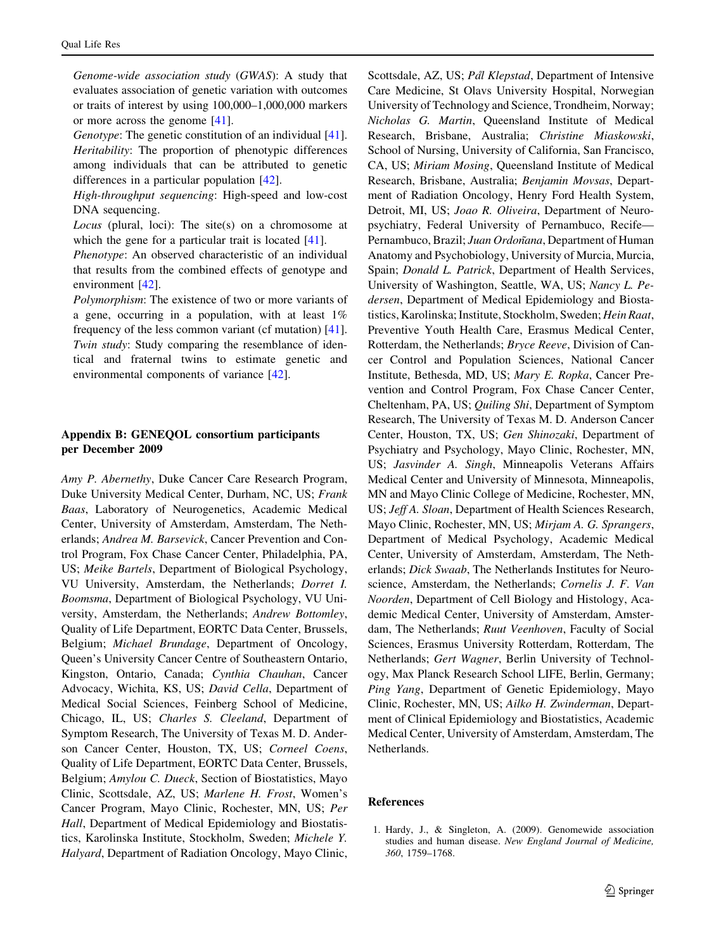<span id="page-6-0"></span>Genome-wide association study (GWAS): A study that evaluates association of genetic variation with outcomes or traits of interest by using 100,000–1,000,000 markers or more across the genome [[41\]](#page-8-0).

Genotype: The genetic constitution of an individual [\[41](#page-8-0)]. Heritability: The proportion of phenotypic differences among individuals that can be attributed to genetic differences in a particular population [\[42\]](#page-8-0).

High-throughput sequencing: High-speed and low-cost DNA sequencing.

Locus (plural, loci): The site(s) on a chromosome at which the gene for a particular trait is located [\[41](#page-8-0)].

Phenotype: An observed characteristic of an individual that results from the combined effects of genotype and environment [\[42](#page-8-0)].

Polymorphism: The existence of two or more variants of a gene, occurring in a population, with at least 1% frequency of the less common variant (cf mutation) [\[41](#page-8-0)]. Twin study: Study comparing the resemblance of identical and fraternal twins to estimate genetic and environmental components of variance [\[42](#page-8-0)].

# Appendix B: GENEQOL consortium participants per December 2009

Amy P. Abernethy, Duke Cancer Care Research Program, Duke University Medical Center, Durham, NC, US; Frank Baas, Laboratory of Neurogenetics, Academic Medical Center, University of Amsterdam, Amsterdam, The Netherlands; Andrea M. Barsevick, Cancer Prevention and Control Program, Fox Chase Cancer Center, Philadelphia, PA, US; Meike Bartels, Department of Biological Psychology, VU University, Amsterdam, the Netherlands; Dorret I. Boomsma, Department of Biological Psychology, VU University, Amsterdam, the Netherlands; Andrew Bottomley, Quality of Life Department, EORTC Data Center, Brussels, Belgium; Michael Brundage, Department of Oncology, Queen's University Cancer Centre of Southeastern Ontario, Kingston, Ontario, Canada; Cynthia Chauhan, Cancer Advocacy, Wichita, KS, US; David Cella, Department of Medical Social Sciences, Feinberg School of Medicine, Chicago, IL, US; Charles S. Cleeland, Department of Symptom Research, The University of Texas M. D. Anderson Cancer Center, Houston, TX, US; Corneel Coens, Quality of Life Department, EORTC Data Center, Brussels, Belgium; Amylou C. Dueck, Section of Biostatistics, Mayo Clinic, Scottsdale, AZ, US; Marlene H. Frost, Women's Cancer Program, Mayo Clinic, Rochester, MN, US; Per Hall, Department of Medical Epidemiology and Biostatistics, Karolinska Institute, Stockholm, Sweden; Michele Y. Halyard, Department of Radiation Oncology, Mayo Clinic, Scottsdale, AZ, US; Pål Klepstad, Department of Intensive Care Medicine, St Olavs University Hospital, Norwegian University of Technology and Science, Trondheim, Norway; Nicholas G. Martin, Queensland Institute of Medical Research, Brisbane, Australia; Christine Miaskowski, School of Nursing, University of California, San Francisco, CA, US; Miriam Mosing, Queensland Institute of Medical Research, Brisbane, Australia; Benjamin Movsas, Department of Radiation Oncology, Henry Ford Health System, Detroit, MI, US; Joao R. Oliveira, Department of Neuropsychiatry, Federal University of Pernambuco, Recife— Pernambuco, Brazil; Juan Ordoñana, Department of Human Anatomy and Psychobiology, University of Murcia, Murcia, Spain; Donald L. Patrick, Department of Health Services, University of Washington, Seattle, WA, US; Nancy L. Pedersen, Department of Medical Epidemiology and Biostatistics, Karolinska; Institute, Stockholm, Sweden; Hein Raat, Preventive Youth Health Care, Erasmus Medical Center, Rotterdam, the Netherlands; Bryce Reeve, Division of Cancer Control and Population Sciences, National Cancer Institute, Bethesda, MD, US; Mary E. Ropka, Cancer Prevention and Control Program, Fox Chase Cancer Center, Cheltenham, PA, US; Quiling Shi, Department of Symptom Research, The University of Texas M. D. Anderson Cancer Center, Houston, TX, US; Gen Shinozaki, Department of Psychiatry and Psychology, Mayo Clinic, Rochester, MN, US; Jasvinder A. Singh, Minneapolis Veterans Affairs Medical Center and University of Minnesota, Minneapolis, MN and Mayo Clinic College of Medicine, Rochester, MN, US; Jeff A. Sloan, Department of Health Sciences Research, Mayo Clinic, Rochester, MN, US; Mirjam A. G. Sprangers, Department of Medical Psychology, Academic Medical Center, University of Amsterdam, Amsterdam, The Netherlands; Dick Swaab, The Netherlands Institutes for Neuroscience, Amsterdam, the Netherlands; Cornelis J. F. Van Noorden, Department of Cell Biology and Histology, Academic Medical Center, University of Amsterdam, Amsterdam, The Netherlands; Ruut Veenhoven, Faculty of Social Sciences, Erasmus University Rotterdam, Rotterdam, The Netherlands; Gert Wagner, Berlin University of Technology, Max Planck Research School LIFE, Berlin, Germany; Ping Yang, Department of Genetic Epidemiology, Mayo Clinic, Rochester, MN, US; Ailko H. Zwinderman, Department of Clinical Epidemiology and Biostatistics, Academic Medical Center, University of Amsterdam, Amsterdam, The Netherlands.

#### References

<sup>1.</sup> Hardy, J., & Singleton, A. (2009). Genomewide association studies and human disease. New England Journal of Medicine, 360, 1759–1768.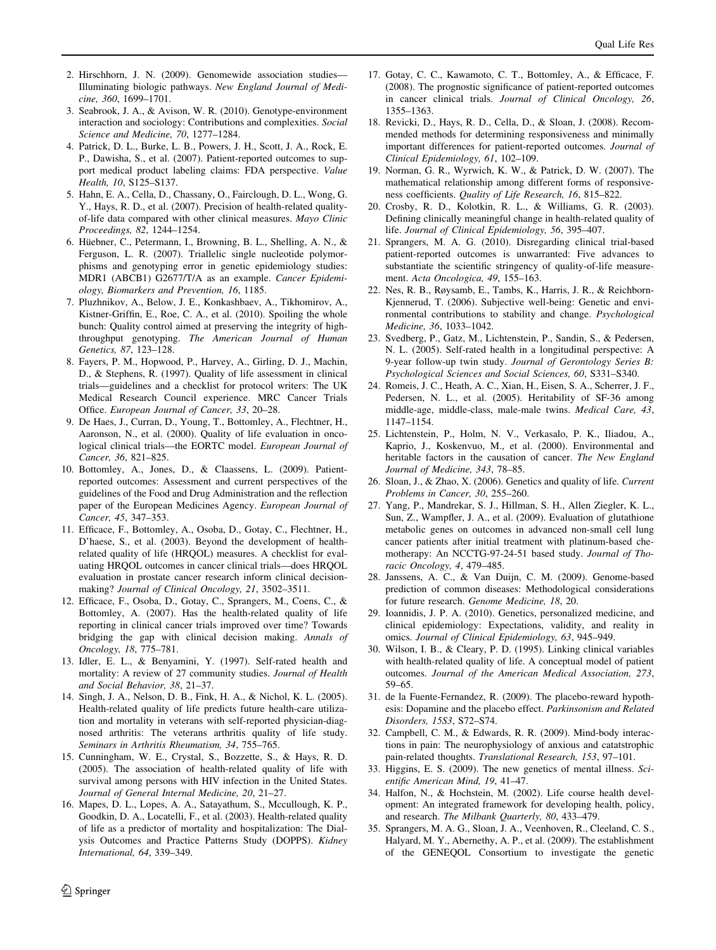- <span id="page-7-0"></span>2. Hirschhorn, J. N. (2009). Genomewide association studies— Illuminating biologic pathways. New England Journal of Medicine, 360, 1699–1701.
- 3. Seabrook, J. A., & Avison, W. R. (2010). Genotype-environment interaction and sociology: Contributions and complexities. Social Science and Medicine, 70, 1277–1284.
- 4. Patrick, D. L., Burke, L. B., Powers, J. H., Scott, J. A., Rock, E. P., Dawisha, S., et al. (2007). Patient-reported outcomes to support medical product labeling claims: FDA perspective. Value Health, 10, S125–S137.
- 5. Hahn, E. A., Cella, D., Chassany, O., Fairclough, D. L., Wong, G. Y., Hays, R. D., et al. (2007). Precision of health-related qualityof-life data compared with other clinical measures. Mayo Clinic Proceedings, 82, 1244–1254.
- 6. Hüebner, C., Petermann, I., Browning, B. L., Shelling, A. N., & Ferguson, L. R. (2007). Triallelic single nucleotide polymorphisms and genotyping error in genetic epidemiology studies: MDR1 (ABCB1) G2677/T/A as an example. Cancer Epidemiology, Biomarkers and Prevention, 16, 1185.
- 7. Pluzhnikov, A., Below, J. E., Konkashbaev, A., Tikhomirov, A., Kistner-Griffin, E., Roe, C. A., et al. (2010). Spoiling the whole bunch: Quality control aimed at preserving the integrity of highthroughput genotyping. The American Journal of Human Genetics, 87, 123–128.
- 8. Fayers, P. M., Hopwood, P., Harvey, A., Girling, D. J., Machin, D., & Stephens, R. (1997). Quality of life assessment in clinical trials—guidelines and a checklist for protocol writers: The UK Medical Research Council experience. MRC Cancer Trials Office. European Journal of Cancer, 33, 20–28.
- 9. De Haes, J., Curran, D., Young, T., Bottomley, A., Flechtner, H., Aaronson, N., et al. (2000). Quality of life evaluation in oncological clinical trials—the EORTC model. European Journal of Cancer, 36, 821–825.
- 10. Bottomley, A., Jones, D., & Claassens, L. (2009). Patientreported outcomes: Assessment and current perspectives of the guidelines of the Food and Drug Administration and the reflection paper of the European Medicines Agency. European Journal of Cancer, 45, 347–353.
- 11. Efficace, F., Bottomley, A., Osoba, D., Gotay, C., Flechtner, H., D'haese, S., et al. (2003). Beyond the development of healthrelated quality of life (HRQOL) measures. A checklist for evaluating HRQOL outcomes in cancer clinical trials—does HRQOL evaluation in prostate cancer research inform clinical decisionmaking? Journal of Clinical Oncology, 21, 3502–3511.
- 12. Efficace, F., Osoba, D., Gotay, C., Sprangers, M., Coens, C., & Bottomley, A. (2007). Has the health-related quality of life reporting in clinical cancer trials improved over time? Towards bridging the gap with clinical decision making. Annals of Oncology, 18, 775–781.
- 13. Idler, E. L., & Benyamini, Y. (1997). Self-rated health and mortality: A review of 27 community studies. Journal of Health and Social Behavior, 38, 21–37.
- 14. Singh, J. A., Nelson, D. B., Fink, H. A., & Nichol, K. L. (2005). Health-related quality of life predicts future health-care utilization and mortality in veterans with self-reported physician-diagnosed arthritis: The veterans arthritis quality of life study. Seminars in Arthritis Rheumatism, 34, 755–765.
- 15. Cunningham, W. E., Crystal, S., Bozzette, S., & Hays, R. D. (2005). The association of health-related quality of life with survival among persons with HIV infection in the United States. Journal of General Internal Medicine, 20, 21–27.
- 16. Mapes, D. L., Lopes, A. A., Satayathum, S., Mccullough, K. P., Goodkin, D. A., Locatelli, F., et al. (2003). Health-related quality of life as a predictor of mortality and hospitalization: The Dialysis Outcomes and Practice Patterns Study (DOPPS). Kidney International, 64, 339–349.
- 17. Gotay, C. C., Kawamoto, C. T., Bottomley, A., & Efficace, F. (2008). The prognostic significance of patient-reported outcomes in cancer clinical trials. Journal of Clinical Oncology, 26, 1355–1363.
- 18. Revicki, D., Hays, R. D., Cella, D., & Sloan, J. (2008). Recommended methods for determining responsiveness and minimally important differences for patient-reported outcomes. Journal of Clinical Epidemiology, 61, 102–109.
- 19. Norman, G. R., Wyrwich, K. W., & Patrick, D. W. (2007). The mathematical relationship among different forms of responsiveness coefficients. Quality of Life Research, 16, 815–822.
- 20. Crosby, R. D., Kolotkin, R. L., & Williams, G. R. (2003). Defining clinically meaningful change in health-related quality of life. Journal of Clinical Epidemiology, 56, 395–407.
- 21. Sprangers, M. A. G. (2010). Disregarding clinical trial-based patient-reported outcomes is unwarranted: Five advances to substantiate the scientific stringency of quality-of-life measurement. Acta Oncologica, 49, 155–163.
- 22. Nes, R. B., Røysamb, E., Tambs, K., Harris, J. R., & Reichborn-Kjennerud, T. (2006). Subjective well-being: Genetic and environmental contributions to stability and change. Psychological Medicine, 36, 1033–1042.
- 23. Svedberg, P., Gatz, M., Lichtenstein, P., Sandin, S., & Pedersen, N. L. (2005). Self-rated health in a longitudinal perspective: A 9-year follow-up twin study. Journal of Gerontology Series B: Psychological Sciences and Social Sciences, 60, S331–S340.
- 24. Romeis, J. C., Heath, A. C., Xian, H., Eisen, S. A., Scherrer, J. F., Pedersen, N. L., et al. (2005). Heritability of SF-36 among middle-age, middle-class, male-male twins. Medical Care, 43, 1147–1154.
- 25. Lichtenstein, P., Holm, N. V., Verkasalo, P. K., Iliadou, A., Kaprio, J., Koskenvuo, M., et al. (2000). Environmental and heritable factors in the causation of cancer. The New England Journal of Medicine, 343, 78–85.
- 26. Sloan, J., & Zhao, X. (2006). Genetics and quality of life. Current Problems in Cancer, 30, 255–260.
- 27. Yang, P., Mandrekar, S. J., Hillman, S. H., Allen Ziegler, K. L., Sun, Z., Wampfler, J. A., et al. (2009). Evaluation of glutathione metabolic genes on outcomes in advanced non-small cell lung cancer patients after initial treatment with platinum-based chemotherapy: An NCCTG-97-24-51 based study. Journal of Thoracic Oncology, 4, 479–485.
- 28. Janssens, A. C., & Van Duijn, C. M. (2009). Genome-based prediction of common diseases: Methodological considerations for future research. Genome Medicine, 18, 20.
- 29. Ioannidis, J. P. A. (2010). Genetics, personalized medicine, and clinical epidemiology: Expectations, validity, and reality in omics. Journal of Clinical Epidemiology, 63, 945–949.
- 30. Wilson, I. B., & Cleary, P. D. (1995). Linking clinical variables with health-related quality of life. A conceptual model of patient outcomes. Journal of the American Medical Association, 273, 59–65.
- 31. de la Fuente-Fernandez, R. (2009). The placebo-reward hypothesis: Dopamine and the placebo effect. Parkinsonism and Related Disorders, 15S3, S72–S74.
- 32. Campbell, C. M., & Edwards, R. R. (2009). Mind-body interactions in pain: The neurophysiology of anxious and catatstrophic pain-related thoughts. Translational Research, 153, 97–101.
- 33. Higgins, E. S. (2009). The new genetics of mental illness. Scientific American Mind, 19, 41–47.
- 34. Halfon, N., & Hochstein, M. (2002). Life course health development: An integrated framework for developing health, policy, and research. The Milbank Quarterly, 80, 433–479.
- 35. Sprangers, M. A. G., Sloan, J. A., Veenhoven, R., Cleeland, C. S., Halyard, M. Y., Abernethy, A. P., et al. (2009). The establishment of the GENEQOL Consortium to investigate the genetic